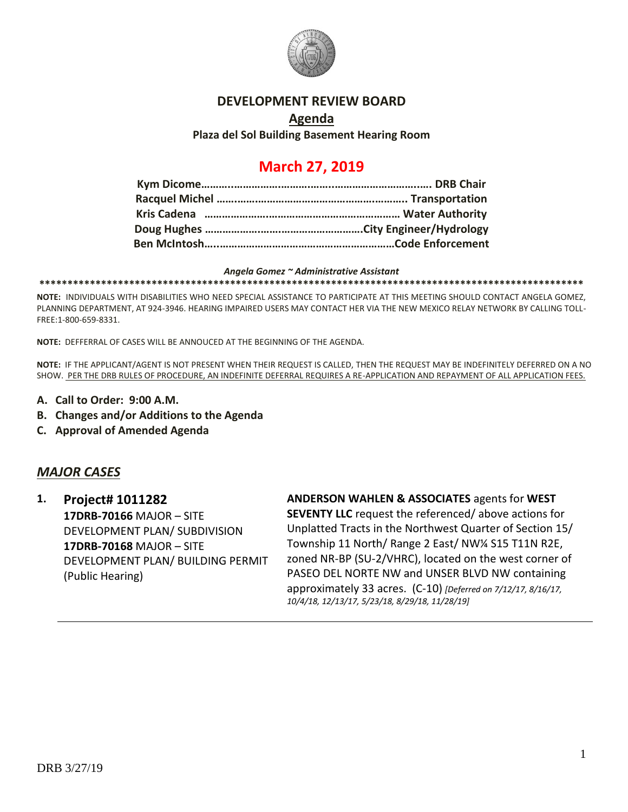

### **DEVELOPMENT REVIEW BOARD**

# **Agenda Plaza del Sol Building Basement Hearing Room**

# **March 27, 2019**

#### *Angela Gomez ~ Administrative Assistant*

**\*\*\*\*\*\*\*\*\*\*\*\*\*\*\*\*\*\*\*\*\*\*\*\*\*\*\*\*\*\*\*\*\*\*\*\*\*\*\*\*\*\*\*\*\*\*\*\*\*\*\*\*\*\*\*\*\*\*\*\*\*\*\*\*\*\*\*\*\*\*\*\*\*\*\*\*\*\*\*\*\*\*\*\*\*\*\*\*\*\*\*\*\*\*\*\*\***

**NOTE:** INDIVIDUALS WITH DISABILITIES WHO NEED SPECIAL ASSISTANCE TO PARTICIPATE AT THIS MEETING SHOULD CONTACT ANGELA GOMEZ, PLANNING DEPARTMENT, AT 924-3946. HEARING IMPAIRED USERS MAY CONTACT HER VIA THE NEW MEXICO RELAY NETWORK BY CALLING TOLL-FREE:1-800-659-8331.

**NOTE:** DEFFERRAL OF CASES WILL BE ANNOUCED AT THE BEGINNING OF THE AGENDA.

**NOTE:** IF THE APPLICANT/AGENT IS NOT PRESENT WHEN THEIR REQUEST IS CALLED, THEN THE REQUEST MAY BE INDEFINITELY DEFERRED ON A NO SHOW. PER THE DRB RULES OF PROCEDURE, AN INDEFINITE DEFERRAL REQUIRES A RE-APPLICATION AND REPAYMENT OF ALL APPLICATION FEES.

- **A. Call to Order: 9:00 A.M.**
- **B. Changes and/or Additions to the Agenda**
- **C. Approval of Amended Agenda**

# *MAJOR CASES*

**1. Project# 1011282 17DRB-70166** MAJOR – SITE DEVELOPMENT PLAN/ SUBDIVISION **17DRB-70168** MAJOR – SITE DEVELOPMENT PLAN/ BUILDING PERMIT (Public Hearing)

**ANDERSON WAHLEN & ASSOCIATES** agents for **WEST SEVENTY LLC** request the referenced/ above actions for Unplatted Tracts in the Northwest Quarter of Section 15/ Township 11 North/ Range 2 East/ NW¼ S15 T11N R2E, zoned NR-BP (SU-2/VHRC), located on the west corner of PASEO DEL NORTE NW and UNSER BLVD NW containing approximately 33 acres. (C-10) *[Deferred on 7/12/17, 8/16/17, 10/4/18, 12/13/17, 5/23/18, 8/29/18, 11/28/19]*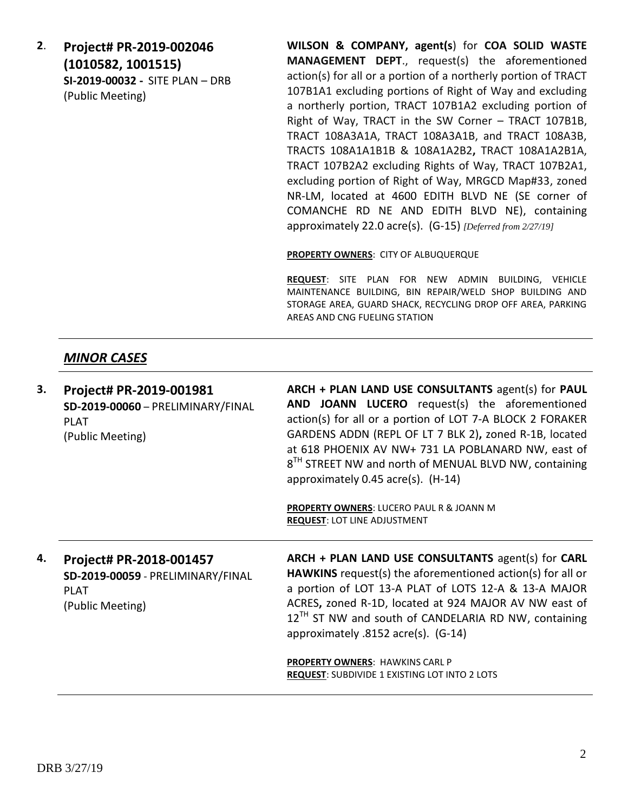**2**. **Project# PR-2019-002046 (1010582, 1001515) SI-2019-00032 -** SITE PLAN – DRB (Public Meeting)

**WILSON & COMPANY, agent(s**) for **COA SOLID WASTE MANAGEMENT DEPT**., request(s) the aforementioned action(s) for all or a portion of a northerly portion of TRACT 107B1A1 excluding portions of Right of Way and excluding a northerly portion, TRACT 107B1A2 excluding portion of Right of Way, TRACT in the SW Corner – TRACT 107B1B, TRACT 108A3A1A, TRACT 108A3A1B, and TRACT 108A3B, TRACTS 108A1A1B1B & 108A1A2B2**,** TRACT 108A1A2B1A, TRACT 107B2A2 excluding Rights of Way, TRACT 107B2A1, excluding portion of Right of Way, MRGCD Map#33, zoned NR-LM, located at 4600 EDITH BLVD NE (SE corner of COMANCHE RD NE AND EDITH BLVD NE), containing approximately 22.0 acre(s). (G-15) *[Deferred from 2/27/19]*

**PROPERTY OWNERS**: CITY OF ALBUQUERQUE

**REQUEST**: SITE PLAN FOR NEW ADMIN BUILDING, VEHICLE MAINTENANCE BUILDING, BIN REPAIR/WELD SHOP BUILDING AND STORAGE AREA, GUARD SHACK, RECYCLING DROP OFF AREA, PARKING AREAS AND CNG FUELING STATION

# *MINOR CASES*

**3. Project# PR-2019-001981 SD-2019-00060** – PRELIMINARY/FINAL PLAT (Public Meeting) **ARCH + PLAN LAND USE CONSULTANTS** agent(s) for **PAUL AND JOANN LUCERO** request(s) the aforementioned action(s) for all or a portion of LOT 7-A BLOCK 2 FORAKER GARDENS ADDN (REPL OF LT 7 BLK 2)**,** zoned R-1B, located at 618 PHOENIX AV NW+ 731 LA POBLANARD NW, east of  $8^{TH}$  STREET NW and north of MENUAL BLVD NW, containing approximately 0.45 acre(s). (H-14) **PROPERTY OWNERS**: LUCERO PAUL R & JOANN M **REQUEST**: LOT LINE ADJUSTMENT **4. Project# PR-2018-001457 SD-2019-00059** - PRELIMINARY/FINAL **ARCH + PLAN LAND USE CONSULTANTS** agent(s) for **CARL HAWKINS** request(s) the aforementioned action(s) for all or

PLAT (Public Meeting) a portion of LOT 13-A PLAT of LOTS 12-A & 13-A MAJOR ACRES**,** zoned R-1D, located at 924 MAJOR AV NW east of  $12^{TH}$  ST NW and south of CANDELARIA RD NW, containing approximately .8152 acre(s). (G-14)

**PROPERTY OWNERS**: HAWKINS CARL P **REQUEST**: SUBDIVIDE 1 EXISTING LOT INTO 2 LOTS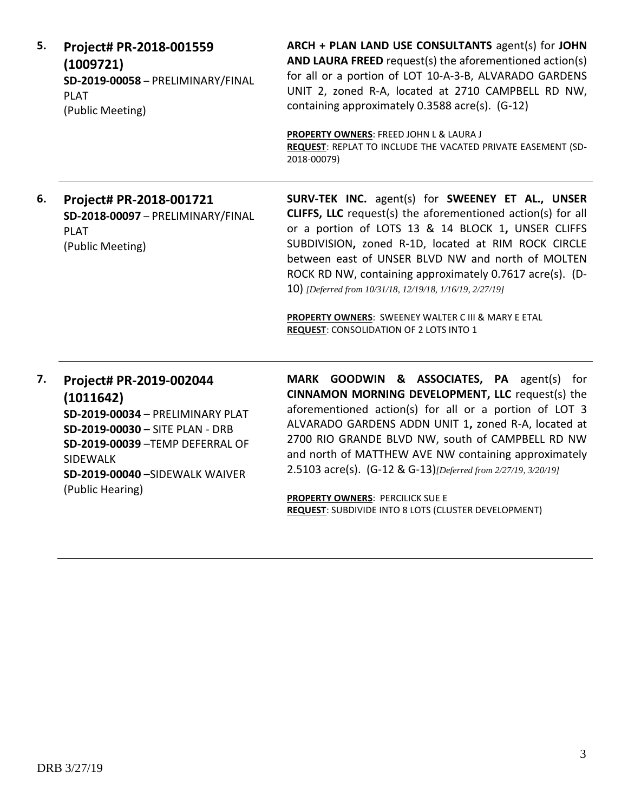**5. Project# PR-2018-001559 (1009721) SD-2019-00058** – PRELIMINARY/FINAL PLAT (Public Meeting) **ARCH + PLAN LAND USE CONSULTANTS** agent(s) for **JOHN AND LAURA FREED** request(s) the aforementioned action(s) for all or a portion of LOT 10-A-3-B, ALVARADO GARDENS UNIT 2, zoned R-A, located at 2710 CAMPBELL RD NW, containing approximately 0.3588 acre(s). (G-12) **PROPERTY OWNERS**: FREED JOHN L & LAURA J **REQUEST**: REPLAT TO INCLUDE THE VACATED PRIVATE EASEMENT (SD-2018-00079) **6. Project# PR-2018-001721 SD-2018-00097** – PRELIMINARY/FINAL PLAT (Public Meeting) **SURV-TEK INC.** agent(s) for **SWEENEY ET AL., UNSER CLIFFS, LLC** request(s) the aforementioned action(s) for all or a portion of LOTS 13 & 14 BLOCK 1**,** UNSER CLIFFS SUBDIVISION**,** zoned R-1D, located at RIM ROCK CIRCLE between east of UNSER BLVD NW and north of MOLTEN ROCK RD NW, containing approximately 0.7617 acre(s). (D-10) *[Deferred from 10/31/18, 12/19/18, 1/16/19, 2/27/19]* **PROPERTY OWNERS**: SWEENEY WALTER C III & MARY E ETAL **REQUEST**: CONSOLIDATION OF 2 LOTS INTO 1 **7. Project# PR-2019-002044 (1011642) SD-2019-00034** – PRELIMINARY PLAT **SD-2019-00030** – SITE PLAN - DRB **SD-2019-00039** –TEMP DEFERRAL OF SIDEWALK **SD-2019-00040** –SIDEWALK WAIVER (Public Hearing) **MARK GOODWIN & ASSOCIATES, PA** agent(s) for **CINNAMON MORNING DEVELOPMENT, LLC** request(s) the aforementioned action(s) for all or a portion of LOT 3 ALVARADO GARDENS ADDN UNIT 1**,** zoned R-A, located at 2700 RIO GRANDE BLVD NW, south of CAMPBELL RD NW and north of MATTHEW AVE NW containing approximately 2.5103 acre(s). (G-12 & G-13)*[Deferred from 2/27/19, 3/20/19]*

**PROPERTY OWNERS**: PERCILICK SUE E **REQUEST**: SUBDIVIDE INTO 8 LOTS (CLUSTER DEVELOPMENT)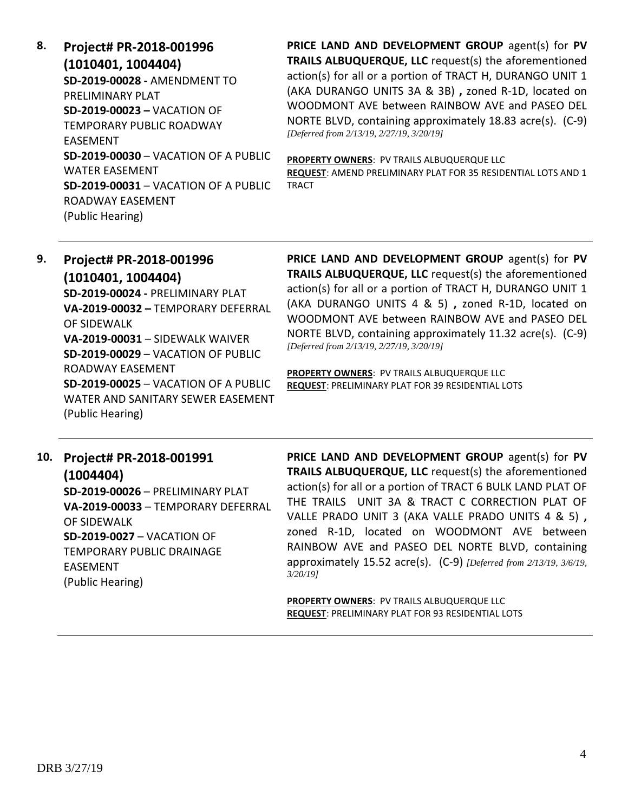**8. Project# PR-2018-001996 (1010401, 1004404) SD-2019-00028 -** AMENDMENT TO PRELIMINARY PLAT **SD-2019-00023 –** VACATION OF TEMPORARY PUBLIC ROADWAY EASEMENT **SD-2019-00030** – VACATION OF A PUBLIC WATER EASEMENT **SD-2019-00031** – VACATION OF A PUBLIC ROADWAY EASEMENT (Public Hearing)

**PRICE LAND AND DEVELOPMENT GROUP** agent(s) for **PV TRAILS ALBUQUERQUE, LLC** request(s) the aforementioned action(s) for all or a portion of TRACT H, DURANGO UNIT 1 (AKA DURANGO UNITS 3A & 3B) **,** zoned R-1D, located on WOODMONT AVE between RAINBOW AVE and PASEO DEL NORTE BLVD, containing approximately 18.83 acre(s). (C-9) *[Deferred from 2/13/19, 2/27/19, 3/20/19]*

**PROPERTY OWNERS**: PV TRAILS ALBUQUERQUE LLC **REQUEST**: AMEND PRELIMINARY PLAT FOR 35 RESIDENTIAL LOTS AND 1 TRACT

# **9. Project# PR-2018-001996 (1010401, 1004404) SD-2019-00024 -** PRELIMINARY PLAT **VA-2019-00032 –** TEMPORARY DEFERRAL OF SIDEWALK **VA-2019-00031** – SIDEWALK WAIVER **SD-2019-00029** – VACATION OF PUBLIC ROADWAY EASEMENT **SD-2019-00025** – VACATION OF A PUBLIC WATER AND SANITARY SEWER EASEMENT (Public Hearing)

**PRICE LAND AND DEVELOPMENT GROUP** agent(s) for **PV TRAILS ALBUQUERQUE, LLC** request(s) the aforementioned action(s) for all or a portion of TRACT H, DURANGO UNIT 1 (AKA DURANGO UNITS 4 & 5) **,** zoned R-1D, located on WOODMONT AVE between RAINBOW AVE and PASEO DEL NORTE BLVD, containing approximately 11.32 acre(s). (C-9) *[Deferred from 2/13/19, 2/27/19, 3/20/19]*

**PROPERTY OWNERS**: PV TRAILS ALBUQUERQUE LLC **REQUEST**: PRELIMINARY PLAT FOR 39 RESIDENTIAL LOTS

# **10. Project# PR-2018-001991 (1004404)**

**SD-2019-00026** – PRELIMINARY PLAT **VA-2019-00033** – TEMPORARY DEFERRAL OF SIDEWALK **SD-2019-0027** – VACATION OF TEMPORARY PUBLIC DRAINAGE EASEMENT (Public Hearing)

**PRICE LAND AND DEVELOPMENT GROUP** agent(s) for **PV TRAILS ALBUQUERQUE, LLC** request(s) the aforementioned action(s) for all or a portion of TRACT 6 BULK LAND PLAT OF THE TRAILS UNIT 3A & TRACT C CORRECTION PLAT OF VALLE PRADO UNIT 3 (AKA VALLE PRADO UNITS 4 & 5) **,**  zoned R-1D, located on WOODMONT AVE between RAINBOW AVE and PASEO DEL NORTE BLVD, containing approximately 15.52 acre(s). (C-9) *[Deferred from 2/13/19, 3/6/19, 3/20/19]*

**PROPERTY OWNERS**: PV TRAILS ALBUQUERQUE LLC **REQUEST**: PRELIMINARY PLAT FOR 93 RESIDENTIAL LOTS